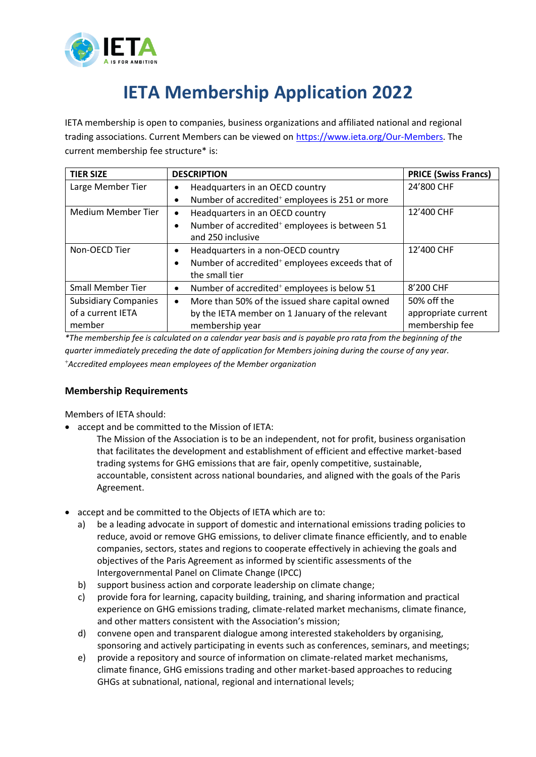

## **IETA Membership Application 2022**

IETA membership is open to companies, business organizations and affiliated national and regional trading associations. Current Members can be viewed on [https://www.ieta.org/Our-Members.](https://www.ieta.org/Our-Members) The current membership fee structure\* is:

| <b>TIER SIZE</b>            | <b>DESCRIPTION</b>                                                                  | <b>PRICE (Swiss Francs)</b> |
|-----------------------------|-------------------------------------------------------------------------------------|-----------------------------|
| Large Member Tier           | Headquarters in an OECD country                                                     | 24'800 CHF                  |
|                             | Number of accredited <sup>+</sup> employees is 251 or more<br>٠                     |                             |
| Medium Member Tier          | Headquarters in an OECD country                                                     | 12'400 CHF                  |
|                             | Number of accredited <sup>+</sup> employees is between 51<br>٠<br>and 250 inclusive |                             |
| Non-OECD Tier               | Headquarters in a non-OECD country<br>$\bullet$                                     | 12'400 CHF                  |
|                             | Number of accredited <sup>+</sup> employees exceeds that of<br>the small tier       |                             |
| <b>Small Member Tier</b>    | Number of accredited <sup>+</sup> employees is below 51<br>٠                        | 8'200 CHF                   |
| <b>Subsidiary Companies</b> | More than 50% of the issued share capital owned<br>$\bullet$                        | 50% off the                 |
| of a current IETA           | by the IETA member on 1 January of the relevant                                     | appropriate current         |
| member<br>.                 | membership year<br>.<br>$\cdots$                                                    | membership fee              |

*\*The membership fee is calculated on a calendar year basis and is payable pro rata from the beginning of the quarter immediately preceding the date of application for Members joining during the course of any year.* <sup>+</sup>*Accredited employees mean employees of the Member organization*

## **Membership Requirements**

Members of IETA should:

- accept and be committed to the Mission of IETA:
	- The Mission of the Association is to be an independent, not for profit, business organisation that facilitates the development and establishment of efficient and effective market-based trading systems for GHG emissions that are fair, openly competitive, sustainable, accountable, consistent across national boundaries, and aligned with the goals of the Paris Agreement.
- accept and be committed to the Objects of IETA which are to:
	- a) be a leading advocate in support of domestic and international emissions trading policies to reduce, avoid or remove GHG emissions, to deliver climate finance efficiently, and to enable companies, sectors, states and regions to cooperate effectively in achieving the goals and objectives of the Paris Agreement as informed by scientific assessments of the Intergovernmental Panel on Climate Change (IPCC)
	- b) support business action and corporate leadership on climate change;
	- c) provide fora for learning, capacity building, training, and sharing information and practical experience on GHG emissions trading, climate-related market mechanisms, climate finance, and other matters consistent with the Association's mission;
	- d) convene open and transparent dialogue among interested stakeholders by organising, sponsoring and actively participating in events such as conferences, seminars, and meetings;
	- e) provide a repository and source of information on climate-related market mechanisms, climate finance, GHG emissions trading and other market-based approaches to reducing GHGs at subnational, national, regional and international levels;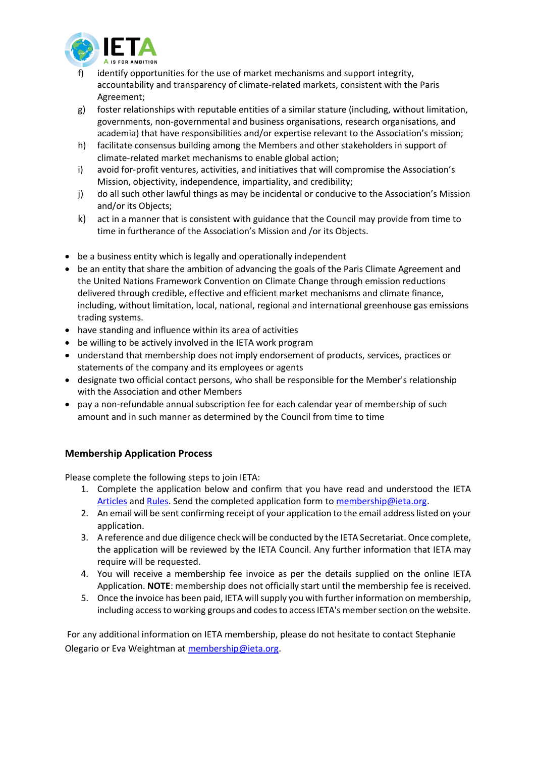

- identify opportunities for the use of market mechanisms and support integrity, accountability and transparency of climate-related markets, consistent with the Paris Agreement;
- g) foster relationships with reputable entities of a similar stature (including, without limitation, governments, non-governmental and business organisations, research organisations, and academia) that have responsibilities and/or expertise relevant to the Association's mission;
- h) facilitate consensus building among the Members and other stakeholders in support of climate-related market mechanisms to enable global action;
- i) avoid for-profit ventures, activities, and initiatives that will compromise the Association's Mission, objectivity, independence, impartiality, and credibility;
- j) do all such other lawful things as may be incidental or conducive to the Association's Mission and/or its Objects;
- k) act in a manner that is consistent with guidance that the Council may provide from time to time in furtherance of the Association's Mission and /or its Objects.
- be a business entity which is legally and operationally independent
- be an entity that share the ambition of advancing the goals of the Paris Climate Agreement and the United Nations Framework Convention on Climate Change through emission reductions delivered through credible, effective and efficient market mechanisms and climate finance, including, without limitation, local, national, regional and international greenhouse gas emissions trading systems.
- have standing and influence within its area of activities
- be willing to be actively involved in the IETA work program
- understand that membership does not imply endorsement of products, services, practices or statements of the company and its employees or agents
- designate two official contact persons, who shall be responsible for the Member's relationship with the Association and other Members
- pay a non-refundable annual subscription fee for each calendar year of membership of such amount and in such manner as determined by the Council from time to time

## **Membership Application Process**

Please complete the following steps to join IETA:

- 1. Complete the application below and confirm that you have read and understood the IETA [Articles](https://ieta.org/resources/Secretariat/IETA-Articles-Oct2020.pdf) and [Rules.](https://ieta.org/resources/Secretariat/IETA-Rules-and-BylawsOct2020.pdf) Send the completed application form to [membership@ieta.org.](mailto:membership@ieta.org)
- 2. An email will be sent confirming receipt of your application to the email address listed on your application.
- 3. A reference and due diligence check will be conducted by the IETA Secretariat. Once complete, the application will be reviewed by the IETA Council. Any further information that IETA may require will be requested.
- 4. You will receive a membership fee invoice as per the details supplied on the online IETA Application. **NOTE**: membership does not officially start until the membership fee is received.
- 5. Once the invoice has been paid, IETA will supply you with further information on membership, including access to working groups and codes to access IETA's member section on the website.

For any additional information on IETA membership, please do not hesitate to contact Stephanie Olegario or Eva Weightman at [membership@ieta.org.](mailto:membership@ieta.org)